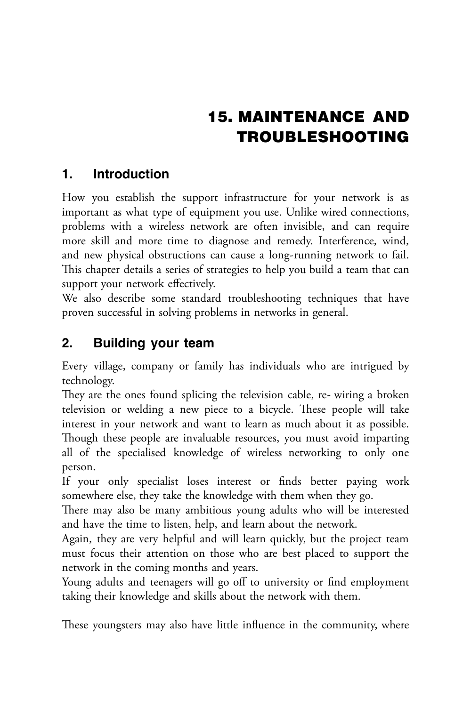## **1. Introduction**

How you establish the support infrastructure for your network is as important as what type of equipment you use. Unlike wired connections, problems with a wireless network are often invisible, and can require more skill and more time to diagnose and remedy. Interference, wind, and new physical obstructions can cause a long-running network to fail. This chapter details a series of strategies to help you build a team that can support your network effectively.

We also describe some standard troubleshooting techniques that have proven successful in solving problems in networks in general.

## **2. Building your team**

Every village, company or family has individuals who are intrigued by technology.

They are the ones found splicing the television cable, re- wiring a broken television or welding a new piece to a bicycle. These people will take interest in your network and want to learn as much about it as possible. Though these people are invaluable resources, you must avoid imparting all of the specialised knowledge of wireless networking to only one person.

If your only specialist loses interest or finds better paying work somewhere else, they take the knowledge with them when they go.

There may also be many ambitious young adults who will be interested and have the time to listen, help, and learn about the network.

Again, they are very helpful and will learn quickly, but the project team must focus their attention on those who are best placed to support the network in the coming months and years.

Young adults and teenagers will go off to university or find employment taking their knowledge and skills about the network with them.

These youngsters may also have little influence in the community, where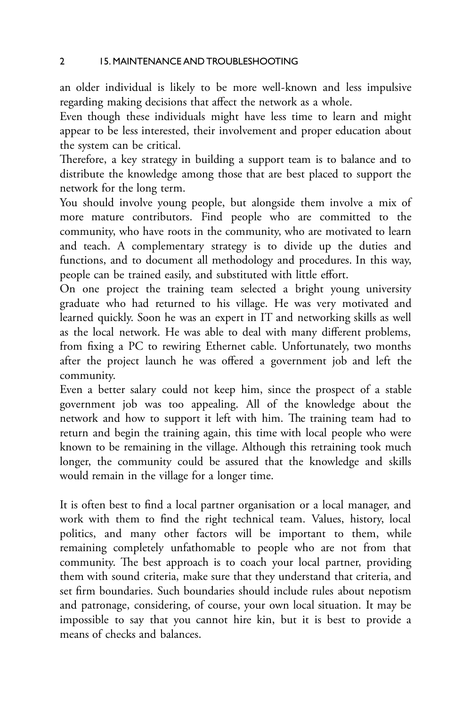an older individual is likely to be more well-known and less impulsive regarding making decisions that affect the network as a whole.

Even though these individuals might have less time to learn and might appear to be less interested, their involvement and proper education about the system can be critical.

Therefore, a key strategy in building a support team is to balance and to distribute the knowledge among those that are best placed to support the network for the long term.

You should involve young people, but alongside them involve a mix of more mature contributors. Find people who are committed to the community, who have roots in the community, who are motivated to learn and teach. A complementary strategy is to divide up the duties and functions, and to document all methodology and procedures. In this way, people can be trained easily, and substituted with little effort.

On one project the training team selected a bright young university graduate who had returned to his village. He was very motivated and learned quickly. Soon he was an expert in IT and networking skills as well as the local network. He was able to deal with many different problems, from fixing a PC to rewiring Ethernet cable. Unfortunately, two months after the project launch he was offered a government job and left the community.

Even a better salary could not keep him, since the prospect of a stable government job was too appealing. All of the knowledge about the network and how to support it left with him. The training team had to return and begin the training again, this time with local people who were known to be remaining in the village. Although this retraining took much longer, the community could be assured that the knowledge and skills would remain in the village for a longer time.

It is often best to find a local partner organisation or a local manager, and work with them to find the right technical team. Values, history, local politics, and many other factors will be important to them, while remaining completely unfathomable to people who are not from that community. The best approach is to coach your local partner, providing them with sound criteria, make sure that they understand that criteria, and set firm boundaries. Such boundaries should include rules about nepotism and patronage, considering, of course, your own local situation. It may be impossible to say that you cannot hire kin, but it is best to provide a means of checks and balances.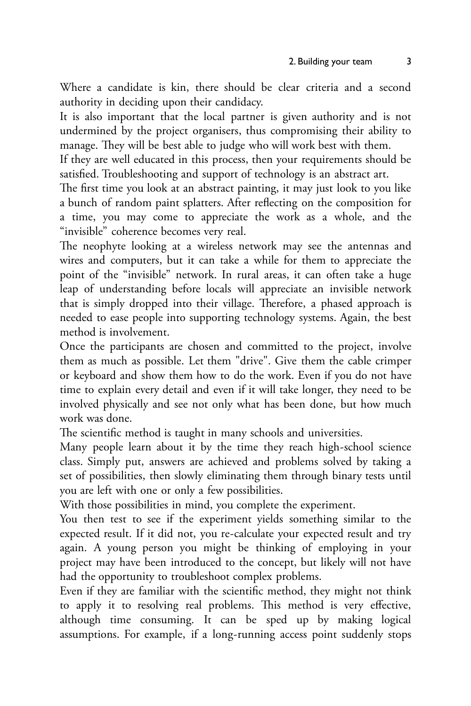Where a candidate is kin, there should be clear criteria and a second authority in deciding upon their candidacy.

It is also important that the local partner is given authority and is not undermined by the project organisers, thus compromising their ability to manage. They will be best able to judge who will work best with them.

If they are well educated in this process, then your requirements should be satisfied. Troubleshooting and support of technology is an abstract art.

The first time you look at an abstract painting, it may just look to you like a bunch of random paint splatters. After reflecting on the composition for a time, you may come to appreciate the work as a whole, and the "invisible" coherence becomes very real.

The neophyte looking at a wireless network may see the antennas and wires and computers, but it can take a while for them to appreciate the point of the "invisible" network. In rural areas, it can often take a huge leap of understanding before locals will appreciate an invisible network that is simply dropped into their village. Therefore, a phased approach is needed to ease people into supporting technology systems. Again, the best method is involvement.

Once the participants are chosen and committed to the project, involve them as much as possible. Let them "drive". Give them the cable crimper or keyboard and show them how to do the work. Even if you do not have time to explain every detail and even if it will take longer, they need to be involved physically and see not only what has been done, but how much work was done.

The scientific method is taught in many schools and universities.

Many people learn about it by the time they reach high-school science class. Simply put, answers are achieved and problems solved by taking a set of possibilities, then slowly eliminating them through binary tests until you are left with one or only a few possibilities.

With those possibilities in mind, you complete the experiment.

You then test to see if the experiment yields something similar to the expected result. If it did not, you re-calculate your expected result and try again. A young person you might be thinking of employing in your project may have been introduced to the concept, but likely will not have had the opportunity to troubleshoot complex problems.

Even if they are familiar with the scientific method, they might not think to apply it to resolving real problems. This method is very effective, although time consuming. It can be sped up by making logical assumptions. For example, if a long-running access point suddenly stops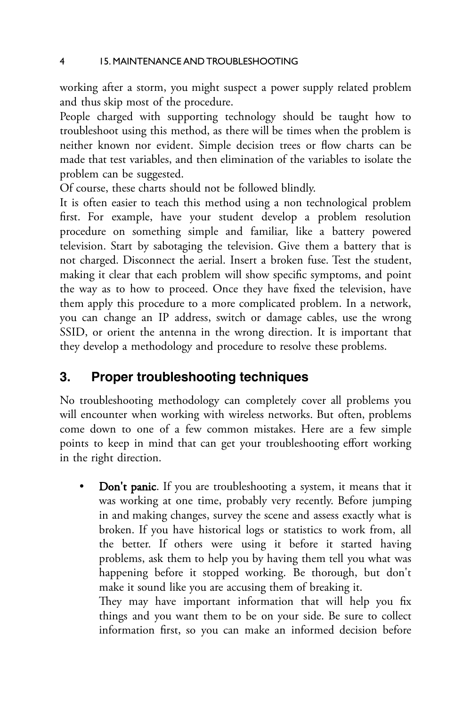working after a storm, you might suspect a power supply related problem and thus skip most of the procedure.

People charged with supporting technology should be taught how to troubleshoot using this method, as there will be times when the problem is neither known nor evident. Simple decision trees or flow charts can be made that test variables, and then elimination of the variables to isolate the problem can be suggested.

Of course, these charts should not be followed blindly.

It is often easier to teach this method using a non technological problem first. For example, have your student develop a problem resolution procedure on something simple and familiar, like a battery powered television. Start by sabotaging the television. Give them a battery that is not charged. Disconnect the aerial. Insert a broken fuse. Test the student, making it clear that each problem will show specific symptoms, and point the way as to how to proceed. Once they have fixed the television, have them apply this procedure to a more complicated problem. In a network, you can change an IP address, switch or damage cables, use the wrong SSID, or orient the antenna in the wrong direction. It is important that they develop a methodology and procedure to resolve these problems.

## **3. Proper troubleshooting techniques**

No troubleshooting methodology can completely cover all problems you will encounter when working with wireless networks. But often, problems come down to one of a few common mistakes. Here are a few simple points to keep in mind that can get your troubleshooting effort working in the right direction.

Don't panic. If you are troubleshooting a system, it means that it was working at one time, probably very recently. Before jumping in and making changes, survey the scene and assess exactly what is broken. If you have historical logs or statistics to work from, all the better. If others were using it before it started having problems, ask them to help you by having them tell you what was happening before it stopped working. Be thorough, but don't make it sound like you are accusing them of breaking it.

They may have important information that will help you fix things and you want them to be on your side. Be sure to collect information first, so you can make an informed decision before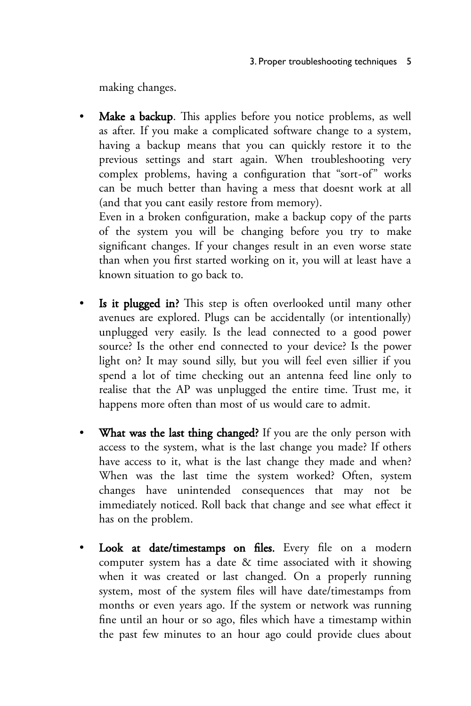making changes.

Make a backup. This applies before you notice problems, as well as after. If you make a complicated software change to a system, having a backup means that you can quickly restore it to the previous settings and start again. When troubleshooting very complex problems, having a configuration that "sort-of" works can be much better than having a mess that doesnt work at all (and that you cant easily restore from memory).

Even in a broken configuration, make a backup copy of the parts of the system you will be changing before you try to make significant changes. If your changes result in an even worse state than when you first started working on it, you will at least have a known situation to go back to.

- Is it plugged in? This step is often overlooked until many other avenues are explored. Plugs can be accidentally (or intentionally) unplugged very easily. Is the lead connected to a good power source? Is the other end connected to your device? Is the power light on? It may sound silly, but you will feel even sillier if you spend a lot of time checking out an antenna feed line only to realise that the AP was unplugged the entire time. Trust me, it happens more often than most of us would care to admit.
- What was the last thing changed? If you are the only person with access to the system, what is the last change you made? If others have access to it, what is the last change they made and when? When was the last time the system worked? Often, system changes have unintended consequences that may not be immediately noticed. Roll back that change and see what effect it has on the problem.
- Look at date/timestamps on files. Every file on a modern computer system has a date & time associated with it showing when it was created or last changed. On a properly running system, most of the system files will have date/timestamps from months or even years ago. If the system or network was running fine until an hour or so ago, files which have a timestamp within the past few minutes to an hour ago could provide clues about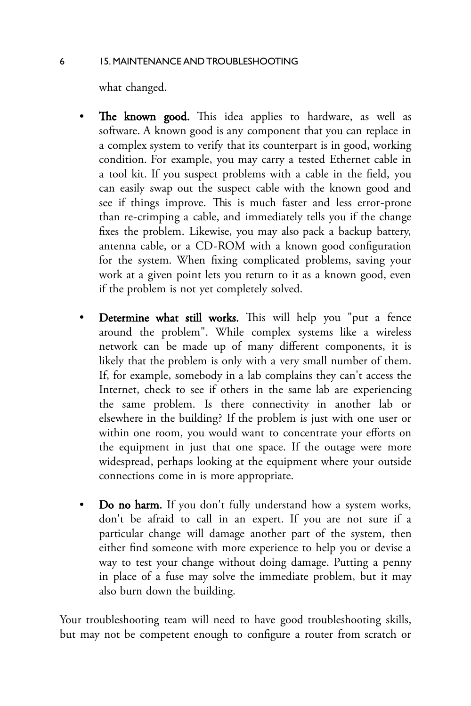what changed.

- The known good. This idea applies to hardware, as well as software. A known good is any component that you can replace in a complex system to verify that its counterpart is in good, working condition. For example, you may carry a tested Ethernet cable in a tool kit. If you suspect problems with a cable in the field, you can easily swap out the suspect cable with the known good and see if things improve. This is much faster and less error-prone than re-crimping a cable, and immediately tells you if the change fixes the problem. Likewise, you may also pack a backup battery, antenna cable, or a CD-ROM with a known good configuration for the system. When fixing complicated problems, saving your work at a given point lets you return to it as a known good, even if the problem is not yet completely solved.
- Determine what still works. This will help you "put a fence around the problem". While complex systems like a wireless network can be made up of many different components, it is likely that the problem is only with a very small number of them. If, for example, somebody in a lab complains they can't access the Internet, check to see if others in the same lab are experiencing the same problem. Is there connectivity in another lab or elsewhere in the building? If the problem is just with one user or within one room, you would want to concentrate your efforts on the equipment in just that one space. If the outage were more widespread, perhaps looking at the equipment where your outside connections come in is more appropriate.
- Do no harm. If you don't fully understand how a system works, don't be afraid to call in an expert. If you are not sure if a particular change will damage another part of the system, then either find someone with more experience to help you or devise a way to test your change without doing damage. Putting a penny in place of a fuse may solve the immediate problem, but it may also burn down the building.

Your troubleshooting team will need to have good troubleshooting skills, but may not be competent enough to configure a router from scratch or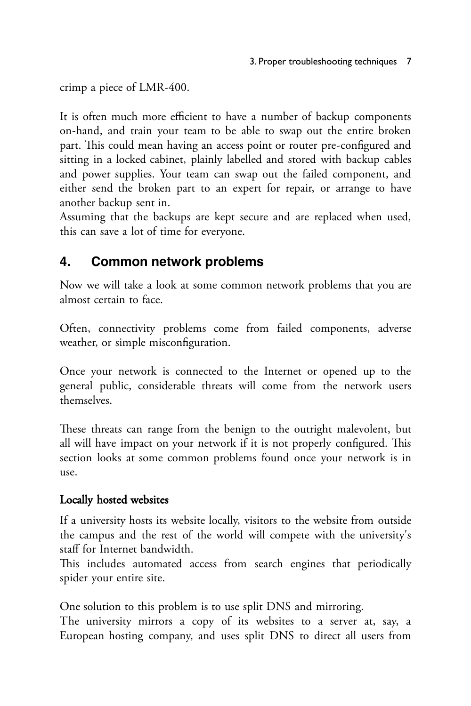crimp a piece of LMR-400.

It is often much more efficient to have a number of backup components on-hand, and train your team to be able to swap out the entire broken part. This could mean having an access point or router pre-configured and sitting in a locked cabinet, plainly labelled and stored with backup cables and power supplies. Your team can swap out the failed component, and either send the broken part to an expert for repair, or arrange to have another backup sent in.

Assuming that the backups are kept secure and are replaced when used, this can save a lot of time for everyone.

## **4. Common network problems**

Now we will take a look at some common network problems that you are almost certain to face.

Often, connectivity problems come from failed components, adverse weather, or simple misconfiguration.

Once your network is connected to the Internet or opened up to the general public, considerable threats will come from the network users themselves.

These threats can range from the benign to the outright malevolent, but all will have impact on your network if it is not properly configured. This section looks at some common problems found once your network is in use.

## Locally hosted websites

If a university hosts its website locally, visitors to the website from outside the campus and the rest of the world will compete with the university's staff for Internet bandwidth.

This includes automated access from search engines that periodically spider your entire site.

One solution to this problem is to use split DNS and mirroring.

The university mirrors a copy of its websites to a server at, say, a European hosting company, and uses split DNS to direct all users from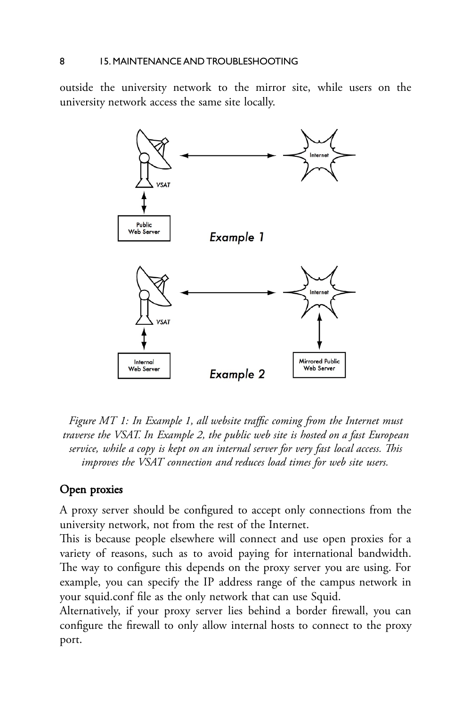outside the university network to the mirror site, while users on the university network access the same site locally.



*Figure MT 1: In Example 1, all website traffic coming from the Internet must traverse the VSAT. In Example 2, the public web site is hosted on a fast European service, while a copy is kept on an internal server for very fast local access. This improves the VSAT connection and reduces load times for web site users.*

#### Open proxies

A proxy server should be configured to accept only connections from the university network, not from the rest of the Internet.

This is because people elsewhere will connect and use open proxies for a variety of reasons, such as to avoid paying for international bandwidth. The way to configure this depends on the proxy server you are using. For example, you can specify the IP address range of the campus network in your squid.conf file as the only network that can use Squid.

Alternatively, if your proxy server lies behind a border firewall, you can configure the firewall to only allow internal hosts to connect to the proxy port.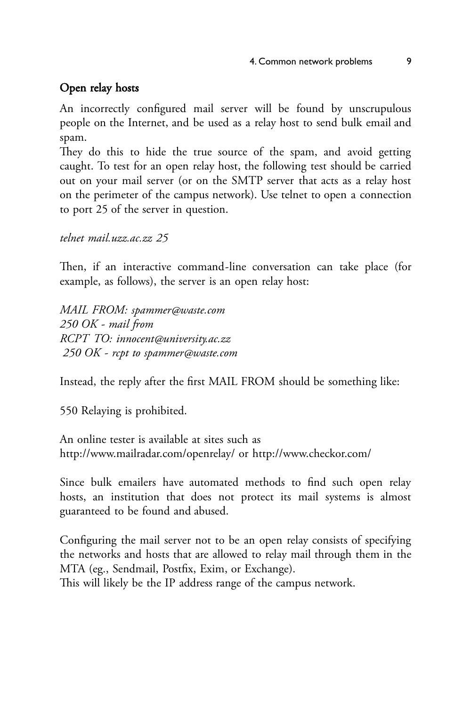#### Open relay hosts

An incorrectly configured mail server will be found by unscrupulous people on the Internet, and be used as a relay host to send bulk email and spam.

They do this to hide the true source of the spam, and avoid getting caught. To test for an open relay host, the following test should be carried out on your mail server (or on the SMTP server that acts as a relay host on the perimeter of the campus network). Use telnet to open a connection to port 25 of the server in question.

*telnet mail.uzz.ac.zz 25*

Then, if an interactive command-line conversation can take place (for example, as follows), the server is an open relay host:

*MAIL FROM: [spammer@waste.com](mailto:spammer@waste.com) 250 OK - mail from RCPT TO: [innocent@university.ac.zz](mailto:innocent@university.ac.zz) 250 OK - rcpt to [spammer@waste.com](mailto:spammer@waste.com)*

Instead, the reply after the first MAIL FROM should be something like:

550 Relaying is prohibited.

An online tester is available at sites such as <http://www.mailradar.com/openrelay/> or <http://www.checkor.com/>

Since bulk emailers have automated methods to find such open relay hosts, an institution that does not protect its mail systems is almost guaranteed to be found and abused.

Configuring the mail server not to be an open relay consists of specifying the networks and hosts that are allowed to relay mail through them in the MTA (eg., Sendmail, Postfix, Exim, or Exchange). This will likely be the IP address range of the campus network.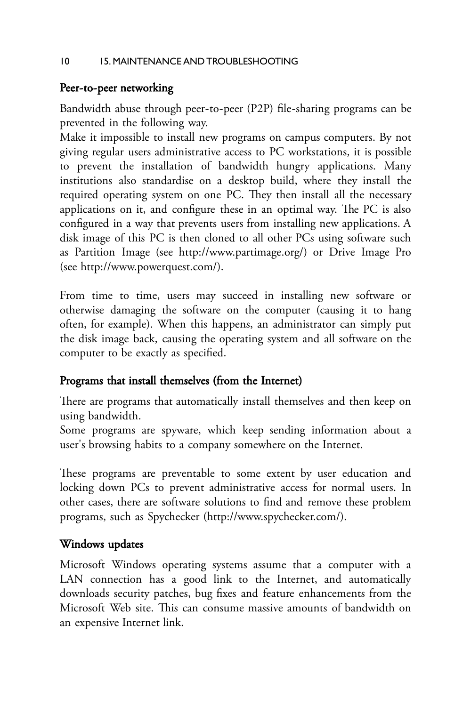## Peer-to-peer networking

Bandwidth abuse through peer-to-peer (P2P) file-sharing programs can be prevented in the following way.

Make it impossible to install new programs on campus computers. By not giving regular users administrative access to PC workstations, it is possible to prevent the installation of bandwidth hungry applications. Many institutions also standardise on a desktop build, where they install the required operating system on one PC. They then install all the necessary applications on it, and configure these in an optimal way. The PC is also configured in a way that prevents users from installing new applications. A disk image of this PC is then cloned to all other PCs using software such as Partition Image (see [http://www.partimage.org/\)](http://www.partimage.org/)) or Drive Image Pro (see [http://www.powerquest.com/\).](http://www.powerquest.com/))

From time to time, users may succeed in installing new software or otherwise damaging the software on the computer (causing it to hang often, for example). When this happens, an administrator can simply put the disk image back, causing the operating system and all software on the computer to be exactly as specified.

## Programs that install themselves (from the Internet)

There are programs that automatically install themselves and then keep on using bandwidth.

Some programs are spyware, which keep sending information about a user's browsing habits to a company somewhere on the Internet.

These programs are preventable to some extent by user education and locking down PCs to prevent administrative access for normal users. In other cases, there are software solutions to find and remove these problem programs, such as Spychecker [\(http://www.spychecker.com/\).](http://www.spychecker.com/))

## Windows updates

Microsoft Windows operating systems assume that a computer with a LAN connection has a good link to the Internet, and automatically downloads security patches, bug fixes and feature enhancements from the Microsoft Web site. This can consume massive amounts of bandwidth on an expensive Internet link.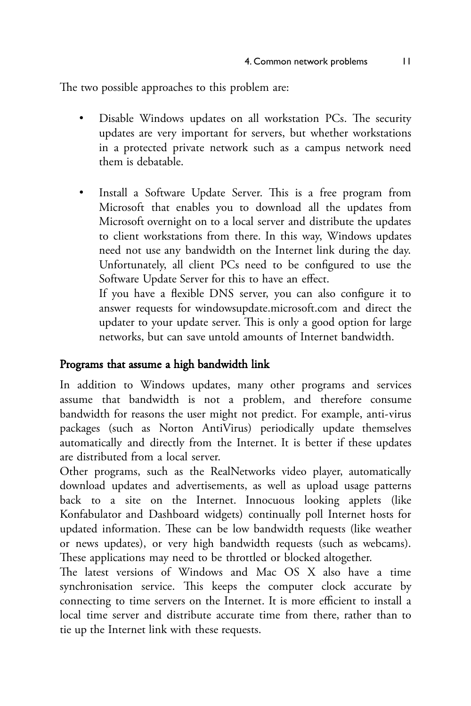The two possible approaches to this problem are:

- Disable Windows updates on all workstation PCs. The security updates are very important for servers, but whether workstations in a protected private network such as a campus network need them is debatable.
- Install a Software Update Server. This is a free program from Microsoft that enables you to download all the updates from Microsoft overnight on to a local server and distribute the updates to client workstations from there. In this way, Windows updates need not use any bandwidth on the Internet link during the day. Unfortunately, all client PCs need to be configured to use the Software Update Server for this to have an effect. If you have a flexible DNS server, you can also configure it to

answer requests for windowsupdate.microsoft.com and direct the updater to your update server. This is only a good option for large networks, but can save untold amounts of Internet bandwidth.

#### Programs that assume a high bandwidth link

In addition to Windows updates, many other programs and services assume that bandwidth is not a problem, and therefore consume bandwidth for reasons the user might not predict. For example, anti-virus packages (such as Norton AntiVirus) periodically update themselves automatically and directly from the Internet. It is better if these updates are distributed from a local server.

Other programs, such as the RealNetworks video player, automatically download updates and advertisements, as well as upload usage patterns back to a site on the Internet. Innocuous looking applets (like Konfabulator and Dashboard widgets) continually poll Internet hosts for updated information. These can be low bandwidth requests (like weather or news updates), or very high bandwidth requests (such as webcams). These applications may need to be throttled or blocked altogether.

The latest versions of Windows and Mac OS X also have a time synchronisation service. This keeps the computer clock accurate by connecting to time servers on the Internet. It is more efficient to install a local time server and distribute accurate time from there, rather than to tie up the Internet link with these requests.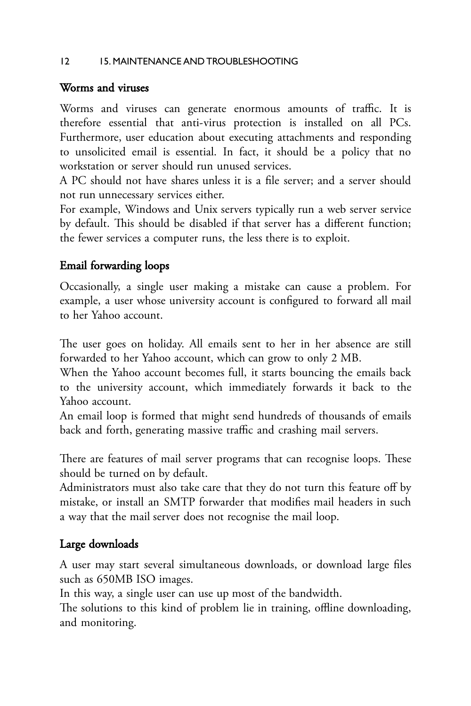### Worms and viruses

Worms and viruses can generate enormous amounts of traffic. It is therefore essential that anti-virus protection is installed on all PCs. Furthermore, user education about executing attachments and responding to unsolicited email is essential. In fact, it should be a policy that no workstation or server should run unused services.

A PC should not have shares unless it is a file server; and a server should not run unnecessary services either.

For example, Windows and Unix servers typically run a web server service by default. This should be disabled if that server has a different function; the fewer services a computer runs, the less there is to exploit.

## Email forwarding loops

Occasionally, a single user making a mistake can cause a problem. For example, a user whose university account is configured to forward all mail to her Yahoo account.

The user goes on holiday. All emails sent to her in her absence are still forwarded to her Yahoo account, which can grow to only 2 MB.

When the Yahoo account becomes full, it starts bouncing the emails back to the university account, which immediately forwards it back to the Yahoo account.

An email loop is formed that might send hundreds of thousands of emails back and forth, generating massive traffic and crashing mail servers.

There are features of mail server programs that can recognise loops. These should be turned on by default.

Administrators must also take care that they do not turn this feature off by mistake, or install an SMTP forwarder that modifies mail headers in such a way that the mail server does not recognise the mail loop.

## Large downloads

A user may start several simultaneous downloads, or download large files such as 650MB ISO images.

In this way, a single user can use up most of the bandwidth.

The solutions to this kind of problem lie in training, offline downloading, and monitoring.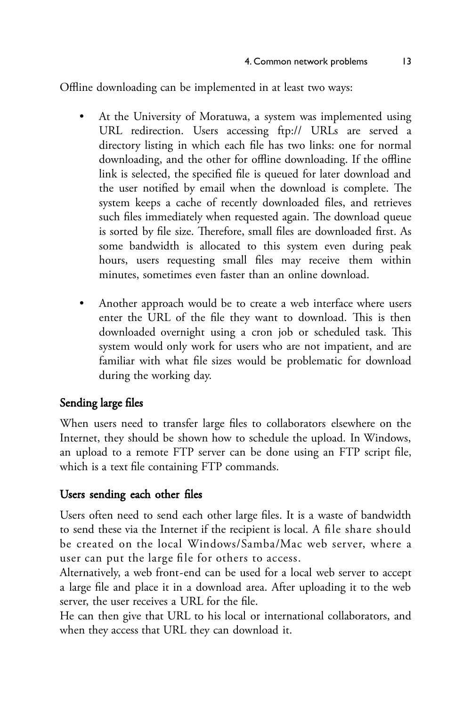Offline downloading can be implemented in at least two ways:

- At the University of Moratuwa, a system was implemented using URL redirection. Users accessing ftp:// URLs are served a directory listing in which each file has two links: one for normal downloading, and the other for offline downloading. If the offline link is selected, the specified file is queued for later download and the user notified by email when the download is complete. The system keeps a cache of recently downloaded files, and retrieves such files immediately when requested again. The download queue is sorted by file size. Therefore, small files are downloaded first. As some bandwidth is allocated to this system even during peak hours, users requesting small files may receive them within minutes, sometimes even faster than an online download.
- Another approach would be to create a web interface where users enter the URL of the file they want to download. This is then downloaded overnight using a cron job or scheduled task. This system would only work for users who are not impatient, and are familiar with what file sizes would be problematic for download during the working day.

#### Sending large files

When users need to transfer large files to collaborators elsewhere on the Internet, they should be shown how to schedule the upload. In Windows, an upload to a remote FTP server can be done using an FTP script file, which is a text file containing FTP commands.

### Users sending each other files

Users often need to send each other large files. It is a waste of bandwidth to send these via the Internet if the recipient is local. A file share should be created on the local Windows/Samba/Mac web server, where a user can put the large file for others to access.

Alternatively, a web front-end can be used for a local web server to accept a large file and place it in a download area. After uploading it to the web server, the user receives a URL for the file.

He can then give that URL to his local or international collaborators, and when they access that URL they can download it.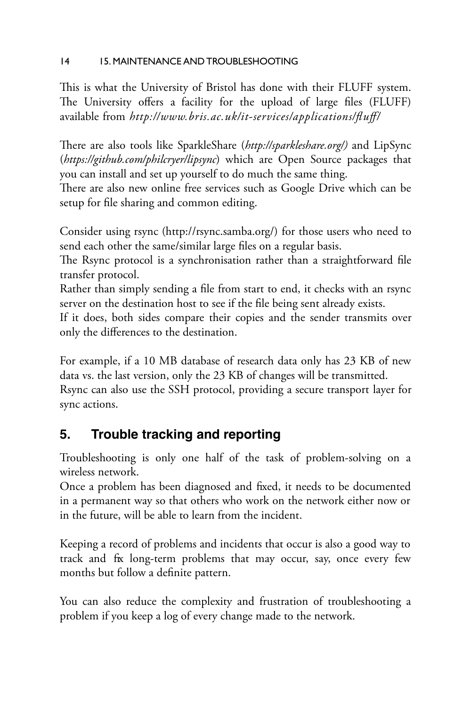This is what the University of Bristol has done with their FLUFF system. The University offers a facility for the upload of large files (FLUFF) available from *http://www.bris.ac.uk/it-services/applications/fuf/*

There are also tools like SparkleShare (*[http://sparkleshare.org/\)](http://sparkleshare.org/)* and LipSync (*<https://github.com/philcryer/lipsync>*) which are Open Source packages that you can install and set up yourself to do much the same thing.

There are also new online free services such as Google Drive which can be setup for file sharing and common editing.

Consider using rsync [\(http://rsync.samba.org/\) f](http://www.rsync.org/)or those users who need to send each other the same/similar large files on a regular basis.

The Rsync protocol is a synchronisation rather than a straightforward file transfer protocol.

Rather than simply sending a file from start to end, it checks with an rsync server on the destination host to see if the file being sent already exists.

If it does, both sides compare their copies and the sender transmits over only the differences to the destination.

For example, if a 10 MB database of research data only has 23 KB of new data vs. the last version, only the 23 KB of changes will be transmitted. Rsync can also use the SSH protocol, providing a secure transport layer for sync actions.

## **5. Trouble tracking and reporting**

Troubleshooting is only one half of the task of problem-solving on a wireless network.

Once a problem has been diagnosed and fixed, it needs to be documented in a permanent way so that others who work on the network either now or in the future, will be able to learn from the incident.

Keeping a record of problems and incidents that occur is also a good way to track and fix long-term problems that may occur, say, once every few months but follow a definite pattern.

You can also reduce the complexity and frustration of troubleshooting a problem if you keep a log of every change made to the network.